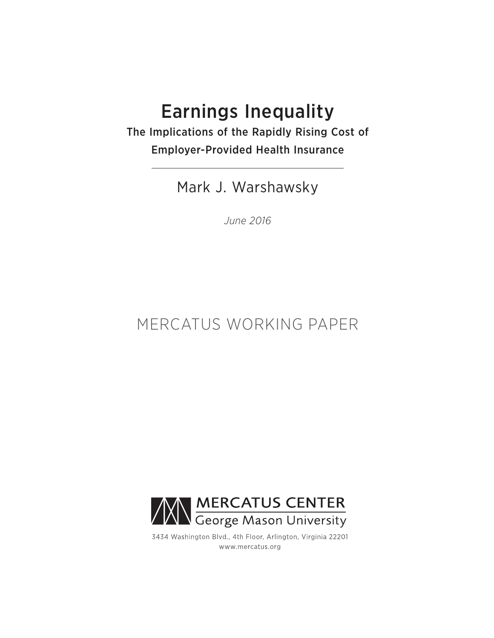# Earnings Inequality

The Implications of the Rapidly Rising Cost of Employer-Provided Health Insurance

Mark J. Warshawsky

*June 2016*

# MERCATUS WORKING PAPER



3434 Washington Blvd., 4th Floor, Arlington, Virginia 22201 www.mercatus.org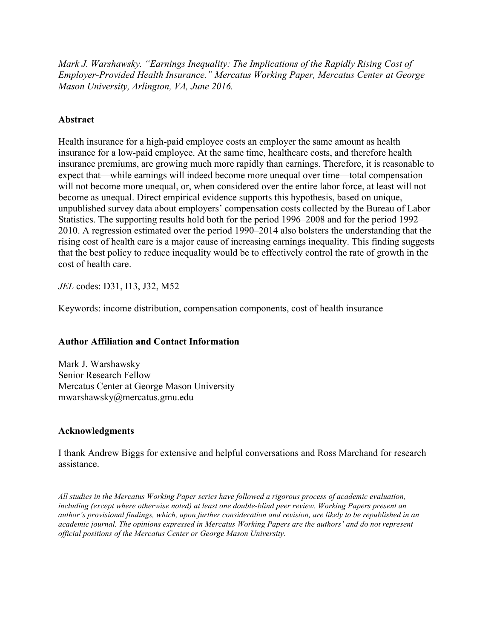*Mark J. Warshawsky. "Earnings Inequality: The Implications of the Rapidly Rising Cost of Employer-Provided Health Insurance." Mercatus Working Paper, Mercatus Center at George Mason University, Arlington, VA, June 2016.*

# **Abstract**

Health insurance for a high-paid employee costs an employer the same amount as health insurance for a low-paid employee. At the same time, healthcare costs, and therefore health insurance premiums, are growing much more rapidly than earnings. Therefore, it is reasonable to expect that—while earnings will indeed become more unequal over time—total compensation will not become more unequal, or, when considered over the entire labor force, at least will not become as unequal. Direct empirical evidence supports this hypothesis, based on unique, unpublished survey data about employers' compensation costs collected by the Bureau of Labor Statistics. The supporting results hold both for the period 1996–2008 and for the period 1992– 2010. A regression estimated over the period 1990–2014 also bolsters the understanding that the rising cost of health care is a major cause of increasing earnings inequality. This finding suggests that the best policy to reduce inequality would be to effectively control the rate of growth in the cost of health care.

*JEL* codes: D31, I13, J32, M52

Keywords: income distribution, compensation components, cost of health insurance

# **Author Affiliation and Contact Information**

Mark J. Warshawsky Senior Research Fellow Mercatus Center at George Mason University mwarshawsky@mercatus.gmu.edu

# **Acknowledgments**

I thank Andrew Biggs for extensive and helpful conversations and Ross Marchand for research assistance.

*All studies in the Mercatus Working Paper series have followed a rigorous process of academic evaluation, including (except where otherwise noted) at least one double-blind peer review. Working Papers present an author's provisional findings, which, upon further consideration and revision, are likely to be republished in an academic journal. The opinions expressed in Mercatus Working Papers are the authors' and do not represent official positions of the Mercatus Center or George Mason University.*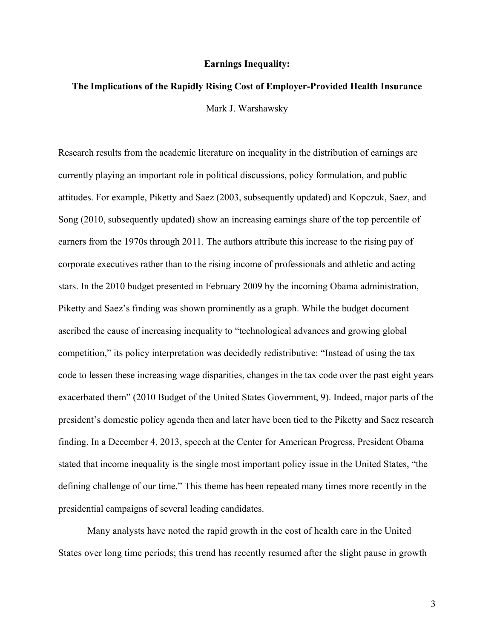#### **Earnings Inequality:**

# **The Implications of the Rapidly Rising Cost of Employer-Provided Health Insurance** Mark J. Warshawsky

Research results from the academic literature on inequality in the distribution of earnings are currently playing an important role in political discussions, policy formulation, and public attitudes. For example, Piketty and Saez (2003, subsequently updated) and Kopczuk, Saez, and Song (2010, subsequently updated) show an increasing earnings share of the top percentile of earners from the 1970s through 2011. The authors attribute this increase to the rising pay of corporate executives rather than to the rising income of professionals and athletic and acting stars. In the 2010 budget presented in February 2009 by the incoming Obama administration, Piketty and Saez's finding was shown prominently as a graph. While the budget document ascribed the cause of increasing inequality to "technological advances and growing global competition," its policy interpretation was decidedly redistributive: "Instead of using the tax code to lessen these increasing wage disparities, changes in the tax code over the past eight years exacerbated them" (2010 Budget of the United States Government, 9). Indeed, major parts of the president's domestic policy agenda then and later have been tied to the Piketty and Saez research finding. In a December 4, 2013, speech at the Center for American Progress, President Obama stated that income inequality is the single most important policy issue in the United States, "the defining challenge of our time." This theme has been repeated many times more recently in the presidential campaigns of several leading candidates.

Many analysts have noted the rapid growth in the cost of health care in the United States over long time periods; this trend has recently resumed after the slight pause in growth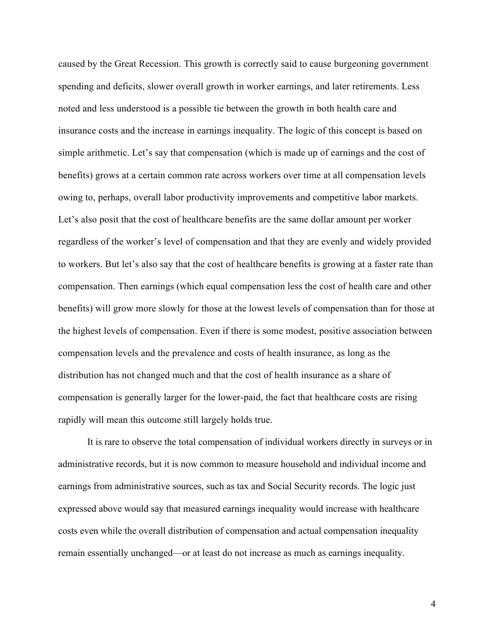caused by the Great Recession. This growth is correctly said to cause burgeoning government spending and deficits, slower overall growth in worker earnings, and later retirements. Less noted and less understood is a possible tie between the growth in both health care and insurance costs and the increase in earnings inequality. The logic of this concept is based on simple arithmetic. Let's say that compensation (which is made up of earnings and the cost of benefits) grows at a certain common rate across workers over time at all compensation levels owing to, perhaps, overall labor productivity improvements and competitive labor markets. Let's also posit that the cost of healthcare benefits are the same dollar amount per worker regardless of the worker's level of compensation and that they are evenly and widely provided to workers. But let's also say that the cost of healthcare benefits is growing at a faster rate than compensation. Then earnings (which equal compensation less the cost of health care and other benefits) will grow more slowly for those at the lowest levels of compensation than for those at the highest levels of compensation. Even if there is some modest, positive association between compensation levels and the prevalence and costs of health insurance, as long as the distribution has not changed much and that the cost of health insurance as a share of compensation is generally larger for the lower-paid, the fact that healthcare costs are rising rapidly will mean this outcome still largely holds true.

It is rare to observe the total compensation of individual workers directly in surveys or in administrative records, but it is now common to measure household and individual income and earnings from administrative sources, such as tax and Social Security records. The logic just expressed above would say that measured earnings inequality would increase with healthcare costs even while the overall distribution of compensation and actual compensation inequality remain essentially unchanged—or at least do not increase as much as earnings inequality.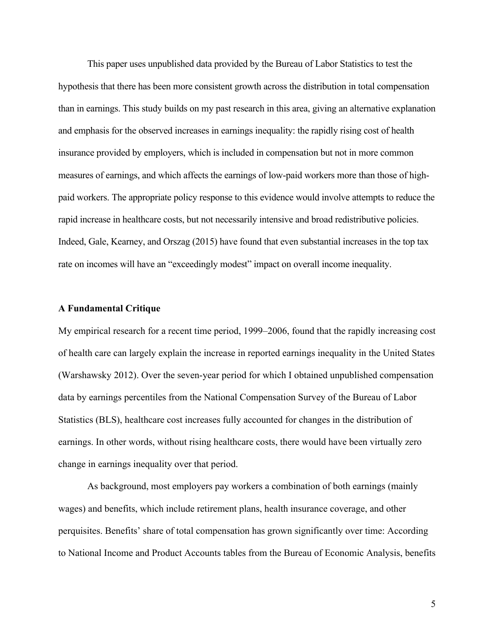This paper uses unpublished data provided by the Bureau of Labor Statistics to test the hypothesis that there has been more consistent growth across the distribution in total compensation than in earnings. This study builds on my past research in this area, giving an alternative explanation and emphasis for the observed increases in earnings inequality: the rapidly rising cost of health insurance provided by employers, which is included in compensation but not in more common measures of earnings, and which affects the earnings of low-paid workers more than those of highpaid workers. The appropriate policy response to this evidence would involve attempts to reduce the rapid increase in healthcare costs, but not necessarily intensive and broad redistributive policies. Indeed, Gale, Kearney, and Orszag (2015) have found that even substantial increases in the top tax rate on incomes will have an "exceedingly modest" impact on overall income inequality.

#### **A Fundamental Critique**

My empirical research for a recent time period, 1999–2006, found that the rapidly increasing cost of health care can largely explain the increase in reported earnings inequality in the United States (Warshawsky 2012). Over the seven-year period for which I obtained unpublished compensation data by earnings percentiles from the National Compensation Survey of the Bureau of Labor Statistics (BLS), healthcare cost increases fully accounted for changes in the distribution of earnings. In other words, without rising healthcare costs, there would have been virtually zero change in earnings inequality over that period.

As background, most employers pay workers a combination of both earnings (mainly wages) and benefits, which include retirement plans, health insurance coverage, and other perquisites. Benefits' share of total compensation has grown significantly over time: According to National Income and Product Accounts tables from the Bureau of Economic Analysis, benefits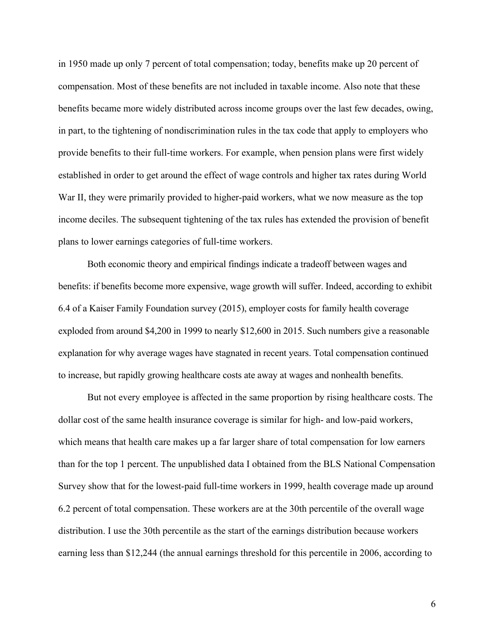in 1950 made up only 7 percent of total compensation; today, benefits make up 20 percent of compensation. Most of these benefits are not included in taxable income. Also note that these benefits became more widely distributed across income groups over the last few decades, owing, in part, to the tightening of nondiscrimination rules in the tax code that apply to employers who provide benefits to their full-time workers. For example, when pension plans were first widely established in order to get around the effect of wage controls and higher tax rates during World War II, they were primarily provided to higher-paid workers, what we now measure as the top income deciles. The subsequent tightening of the tax rules has extended the provision of benefit plans to lower earnings categories of full-time workers.

Both economic theory and empirical findings indicate a tradeoff between wages and benefits: if benefits become more expensive, wage growth will suffer. Indeed, according to exhibit 6.4 of a Kaiser Family Foundation survey (2015), employer costs for family health coverage exploded from around \$4,200 in 1999 to nearly \$12,600 in 2015. Such numbers give a reasonable explanation for why average wages have stagnated in recent years. Total compensation continued to increase, but rapidly growing healthcare costs ate away at wages and nonhealth benefits.

But not every employee is affected in the same proportion by rising healthcare costs. The dollar cost of the same health insurance coverage is similar for high- and low-paid workers, which means that health care makes up a far larger share of total compensation for low earners than for the top 1 percent. The unpublished data I obtained from the BLS National Compensation Survey show that for the lowest-paid full-time workers in 1999, health coverage made up around 6.2 percent of total compensation. These workers are at the 30th percentile of the overall wage distribution. I use the 30th percentile as the start of the earnings distribution because workers earning less than \$12,244 (the annual earnings threshold for this percentile in 2006, according to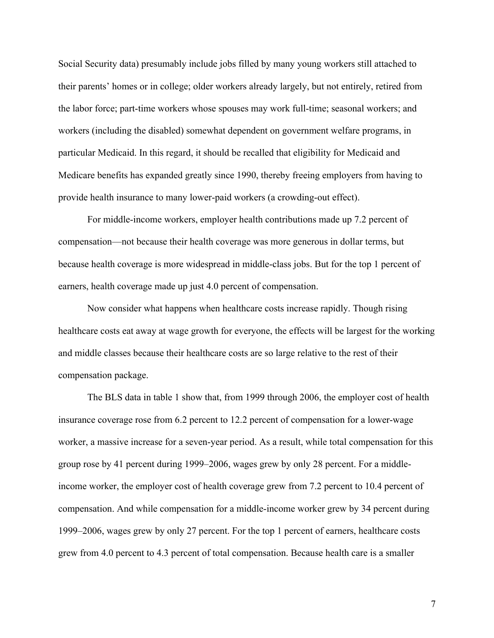Social Security data) presumably include jobs filled by many young workers still attached to their parents' homes or in college; older workers already largely, but not entirely, retired from the labor force; part-time workers whose spouses may work full-time; seasonal workers; and workers (including the disabled) somewhat dependent on government welfare programs, in particular Medicaid. In this regard, it should be recalled that eligibility for Medicaid and Medicare benefits has expanded greatly since 1990, thereby freeing employers from having to provide health insurance to many lower-paid workers (a crowding-out effect).

For middle-income workers, employer health contributions made up 7.2 percent of compensation—not because their health coverage was more generous in dollar terms, but because health coverage is more widespread in middle-class jobs. But for the top 1 percent of earners, health coverage made up just 4.0 percent of compensation.

Now consider what happens when healthcare costs increase rapidly. Though rising healthcare costs eat away at wage growth for everyone, the effects will be largest for the working and middle classes because their healthcare costs are so large relative to the rest of their compensation package.

The BLS data in table 1 show that, from 1999 through 2006, the employer cost of health insurance coverage rose from 6.2 percent to 12.2 percent of compensation for a lower-wage worker, a massive increase for a seven-year period. As a result, while total compensation for this group rose by 41 percent during 1999–2006, wages grew by only 28 percent. For a middleincome worker, the employer cost of health coverage grew from 7.2 percent to 10.4 percent of compensation. And while compensation for a middle-income worker grew by 34 percent during 1999–2006, wages grew by only 27 percent. For the top 1 percent of earners, healthcare costs grew from 4.0 percent to 4.3 percent of total compensation. Because health care is a smaller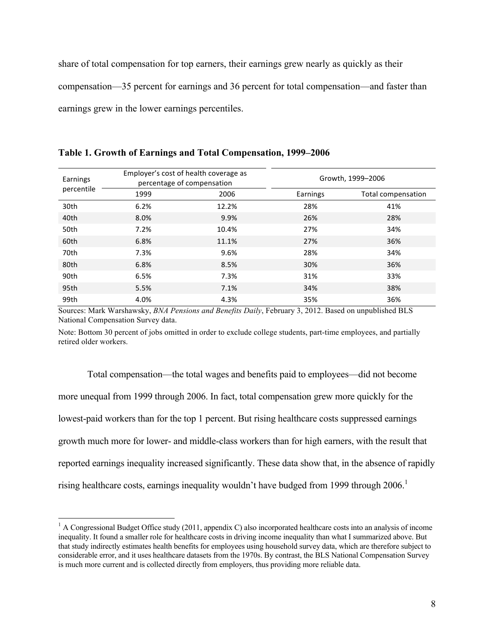share of total compensation for top earners, their earnings grew nearly as quickly as their compensation—35 percent for earnings and 36 percent for total compensation—and faster than earnings grew in the lower earnings percentiles.

| Earnings<br>percentile | Employer's cost of health coverage as<br>percentage of compensation |       | Growth, 1999-2006 |                    |
|------------------------|---------------------------------------------------------------------|-------|-------------------|--------------------|
|                        | 1999                                                                | 2006  | Earnings          | Total compensation |
| 30th                   | 6.2%                                                                | 12.2% | 28%               | 41%                |
| 40th                   | 8.0%                                                                | 9.9%  | 26%               | 28%                |
| 50th                   | 7.2%                                                                | 10.4% | 27%               | 34%                |
| 60th                   | 6.8%                                                                | 11.1% | 27%               | 36%                |
| 70th                   | 7.3%                                                                | 9.6%  | 28%               | 34%                |
| 80th                   | 6.8%                                                                | 8.5%  | 30%               | 36%                |
| 90th                   | 6.5%                                                                | 7.3%  | 31%               | 33%                |
| 95th                   | 5.5%                                                                | 7.1%  | 34%               | 38%                |
| 99th                   | 4.0%                                                                | 4.3%  | 35%               | 36%                |

**Table 1. Growth of Earnings and Total Compensation, 1999–2006**

Sources: Mark Warshawsky, *BNA Pensions and Benefits Daily*, February 3, 2012. Based on unpublished BLS National Compensation Survey data.

Note: Bottom 30 percent of jobs omitted in order to exclude college students, part-time employees, and partially retired older workers.

Total compensation—the total wages and benefits paid to employees—did not become more unequal from 1999 through 2006. In fact, total compensation grew more quickly for the lowest-paid workers than for the top 1 percent. But rising healthcare costs suppressed earnings growth much more for lower- and middle-class workers than for high earners, with the result that reported earnings inequality increased significantly. These data show that, in the absence of rapidly rising healthcare costs, earnings inequality wouldn't have budged from 1999 through 2006.<sup>1</sup>

 $1$  A Congressional Budget Office study (2011, appendix C) also incorporated healthcare costs into an analysis of income inequality. It found a smaller role for healthcare costs in driving income inequality than what I summarized above. But that study indirectly estimates health benefits for employees using household survey data, which are therefore subject to considerable error, and it uses healthcare datasets from the 1970s. By contrast, the BLS National Compensation Survey is much more current and is collected directly from employers, thus providing more reliable data.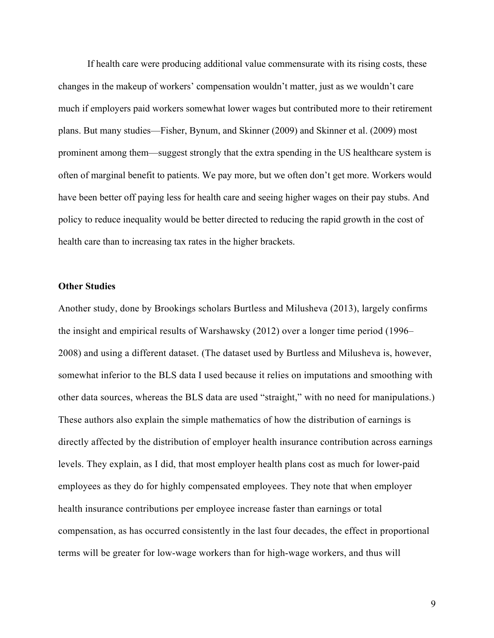If health care were producing additional value commensurate with its rising costs, these changes in the makeup of workers' compensation wouldn't matter, just as we wouldn't care much if employers paid workers somewhat lower wages but contributed more to their retirement plans. But many studies—Fisher, Bynum, and Skinner (2009) and Skinner et al. (2009) most prominent among them—suggest strongly that the extra spending in the US healthcare system is often of marginal benefit to patients. We pay more, but we often don't get more. Workers would have been better off paying less for health care and seeing higher wages on their pay stubs. And policy to reduce inequality would be better directed to reducing the rapid growth in the cost of health care than to increasing tax rates in the higher brackets.

#### **Other Studies**

Another study, done by Brookings scholars Burtless and Milusheva (2013), largely confirms the insight and empirical results of Warshawsky (2012) over a longer time period (1996– 2008) and using a different dataset. (The dataset used by Burtless and Milusheva is, however, somewhat inferior to the BLS data I used because it relies on imputations and smoothing with other data sources, whereas the BLS data are used "straight," with no need for manipulations.) These authors also explain the simple mathematics of how the distribution of earnings is directly affected by the distribution of employer health insurance contribution across earnings levels. They explain, as I did, that most employer health plans cost as much for lower-paid employees as they do for highly compensated employees. They note that when employer health insurance contributions per employee increase faster than earnings or total compensation, as has occurred consistently in the last four decades, the effect in proportional terms will be greater for low-wage workers than for high-wage workers, and thus will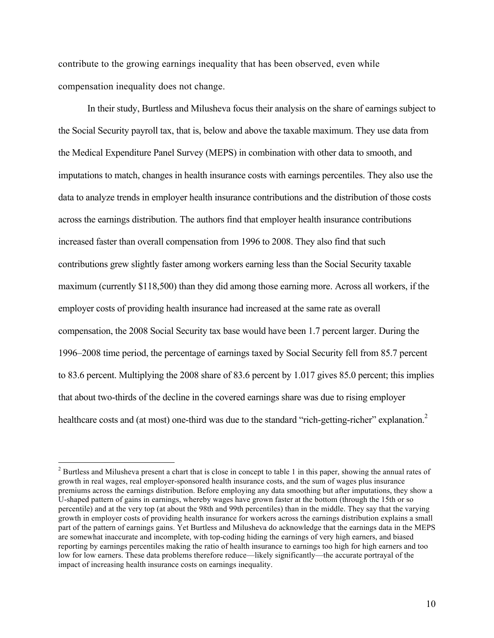contribute to the growing earnings inequality that has been observed, even while compensation inequality does not change.

In their study, Burtless and Milusheva focus their analysis on the share of earnings subject to the Social Security payroll tax, that is, below and above the taxable maximum. They use data from the Medical Expenditure Panel Survey (MEPS) in combination with other data to smooth, and imputations to match, changes in health insurance costs with earnings percentiles. They also use the data to analyze trends in employer health insurance contributions and the distribution of those costs across the earnings distribution. The authors find that employer health insurance contributions increased faster than overall compensation from 1996 to 2008. They also find that such contributions grew slightly faster among workers earning less than the Social Security taxable maximum (currently \$118,500) than they did among those earning more. Across all workers, if the employer costs of providing health insurance had increased at the same rate as overall compensation, the 2008 Social Security tax base would have been 1.7 percent larger. During the 1996–2008 time period, the percentage of earnings taxed by Social Security fell from 85.7 percent to 83.6 percent. Multiplying the 2008 share of 83.6 percent by 1.017 gives 85.0 percent; this implies that about two-thirds of the decline in the covered earnings share was due to rising employer healthcare costs and (at most) one-third was due to the standard "rich-getting-richer" explanation.<sup>2</sup>

<sup>&</sup>lt;sup>2</sup> Burtless and Milusheva present a chart that is close in concept to table 1 in this paper, showing the annual rates of growth in real wages, real employer-sponsored health insurance costs, and the sum of wages plus insurance premiums across the earnings distribution. Before employing any data smoothing but after imputations, they show a U-shaped pattern of gains in earnings, whereby wages have grown faster at the bottom (through the 15th or so percentile) and at the very top (at about the 98th and 99th percentiles) than in the middle. They say that the varying growth in employer costs of providing health insurance for workers across the earnings distribution explains a small part of the pattern of earnings gains. Yet Burtless and Milusheva do acknowledge that the earnings data in the MEPS are somewhat inaccurate and incomplete, with top-coding hiding the earnings of very high earners, and biased reporting by earnings percentiles making the ratio of health insurance to earnings too high for high earners and too low for low earners. These data problems therefore reduce—likely significantly—the accurate portrayal of the impact of increasing health insurance costs on earnings inequality.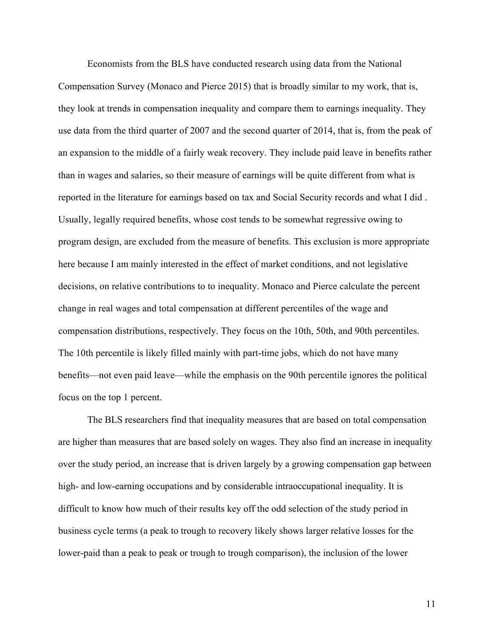Economists from the BLS have conducted research using data from the National Compensation Survey (Monaco and Pierce 2015) that is broadly similar to my work, that is, they look at trends in compensation inequality and compare them to earnings inequality. They use data from the third quarter of 2007 and the second quarter of 2014, that is, from the peak of an expansion to the middle of a fairly weak recovery. They include paid leave in benefits rather than in wages and salaries, so their measure of earnings will be quite different from what is reported in the literature for earnings based on tax and Social Security records and what I did . Usually, legally required benefits, whose cost tends to be somewhat regressive owing to program design, are excluded from the measure of benefits. This exclusion is more appropriate here because I am mainly interested in the effect of market conditions, and not legislative decisions, on relative contributions to to inequality. Monaco and Pierce calculate the percent change in real wages and total compensation at different percentiles of the wage and compensation distributions, respectively. They focus on the 10th, 50th, and 90th percentiles. The 10th percentile is likely filled mainly with part-time jobs, which do not have many benefits—not even paid leave—while the emphasis on the 90th percentile ignores the political focus on the top 1 percent.

The BLS researchers find that inequality measures that are based on total compensation are higher than measures that are based solely on wages. They also find an increase in inequality over the study period, an increase that is driven largely by a growing compensation gap between high- and low-earning occupations and by considerable intraoccupational inequality. It is difficult to know how much of their results key off the odd selection of the study period in business cycle terms (a peak to trough to recovery likely shows larger relative losses for the lower-paid than a peak to peak or trough to trough comparison), the inclusion of the lower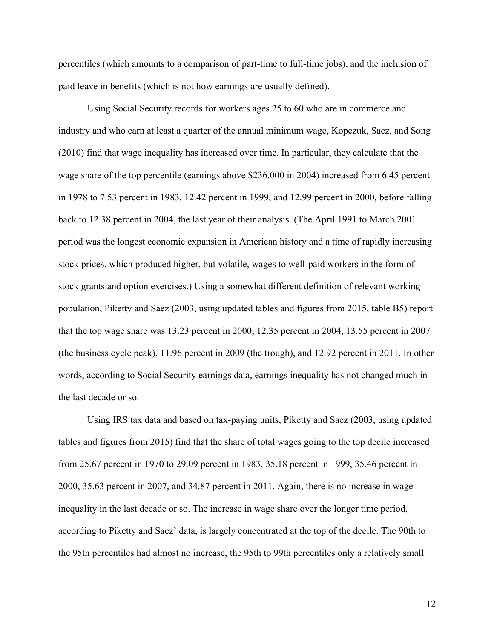percentiles (which amounts to a comparison of part-time to full-time jobs), and the inclusion of paid leave in benefits (which is not how earnings are usually defined).

Using Social Security records for workers ages 25 to 60 who are in commerce and industry and who earn at least a quarter of the annual minimum wage, Kopczuk, Saez, and Song (2010) find that wage inequality has increased over time. In particular, they calculate that the wage share of the top percentile (earnings above \$236,000 in 2004) increased from 6.45 percent in 1978 to 7.53 percent in 1983, 12.42 percent in 1999, and 12.99 percent in 2000, before falling back to 12.38 percent in 2004, the last year of their analysis. (The April 1991 to March 2001 period was the longest economic expansion in American history and a time of rapidly increasing stock prices, which produced higher, but volatile, wages to well-paid workers in the form of stock grants and option exercises.) Using a somewhat different definition of relevant working population, Piketty and Saez (2003, using updated tables and figures from 2015, table B5) report that the top wage share was 13.23 percent in 2000, 12.35 percent in 2004, 13.55 percent in 2007 (the business cycle peak), 11.96 percent in 2009 (the trough), and 12.92 percent in 2011. In other words, according to Social Security earnings data, earnings inequality has not changed much in the last decade or so.

Using IRS tax data and based on tax-paying units, Piketty and Saez (2003, using updated tables and figures from 2015) find that the share of total wages going to the top decile increased from 25.67 percent in 1970 to 29.09 percent in 1983, 35.18 percent in 1999, 35.46 percent in 2000, 35.63 percent in 2007, and 34.87 percent in 2011. Again, there is no increase in wage inequality in the last decade or so. The increase in wage share over the longer time period, according to Piketty and Saez' data, is largely concentrated at the top of the decile. The 90th to the 95th percentiles had almost no increase, the 95th to 99th percentiles only a relatively small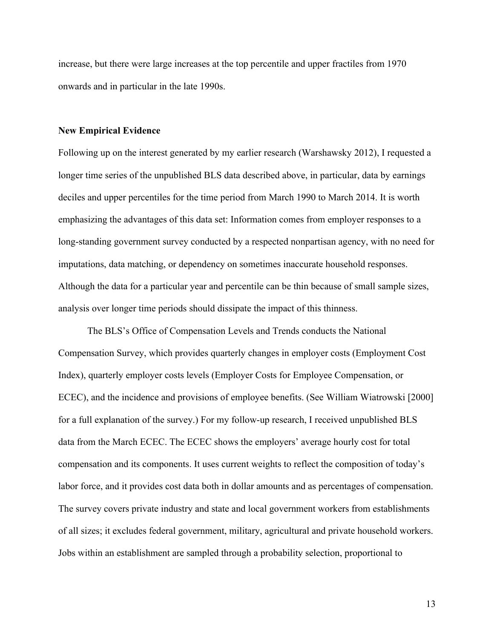increase, but there were large increases at the top percentile and upper fractiles from 1970 onwards and in particular in the late 1990s.

#### **New Empirical Evidence**

Following up on the interest generated by my earlier research (Warshawsky 2012), I requested a longer time series of the unpublished BLS data described above, in particular, data by earnings deciles and upper percentiles for the time period from March 1990 to March 2014. It is worth emphasizing the advantages of this data set: Information comes from employer responses to a long-standing government survey conducted by a respected nonpartisan agency, with no need for imputations, data matching, or dependency on sometimes inaccurate household responses. Although the data for a particular year and percentile can be thin because of small sample sizes, analysis over longer time periods should dissipate the impact of this thinness.

The BLS's Office of Compensation Levels and Trends conducts the National Compensation Survey, which provides quarterly changes in employer costs (Employment Cost Index), quarterly employer costs levels (Employer Costs for Employee Compensation, or ECEC), and the incidence and provisions of employee benefits. (See William Wiatrowski [2000] for a full explanation of the survey.) For my follow-up research, I received unpublished BLS data from the March ECEC. The ECEC shows the employers' average hourly cost for total compensation and its components. It uses current weights to reflect the composition of today's labor force, and it provides cost data both in dollar amounts and as percentages of compensation. The survey covers private industry and state and local government workers from establishments of all sizes; it excludes federal government, military, agricultural and private household workers. Jobs within an establishment are sampled through a probability selection, proportional to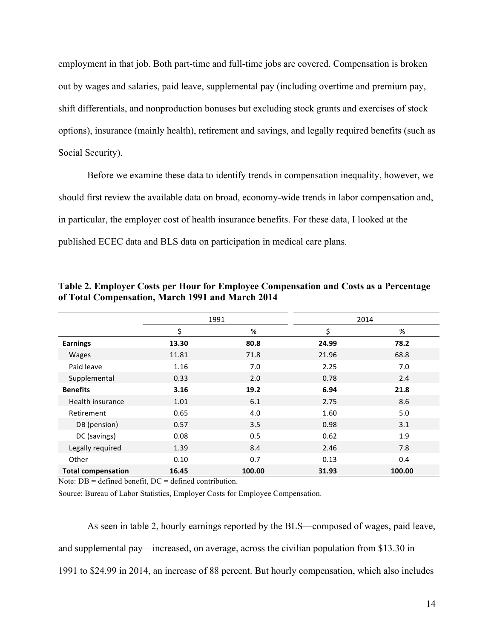employment in that job. Both part-time and full-time jobs are covered. Compensation is broken out by wages and salaries, paid leave, supplemental pay (including overtime and premium pay, shift differentials, and nonproduction bonuses but excluding stock grants and exercises of stock options), insurance (mainly health), retirement and savings, and legally required benefits (such as Social Security).

Before we examine these data to identify trends in compensation inequality, however, we should first review the available data on broad, economy-wide trends in labor compensation and, in particular, the employer cost of health insurance benefits. For these data, I looked at the published ECEC data and BLS data on participation in medical care plans.

|                           | 1991  |        | 2014  |        |
|---------------------------|-------|--------|-------|--------|
|                           | \$    | %      | \$    | %      |
| <b>Earnings</b>           | 13.30 | 80.8   | 24.99 | 78.2   |
| Wages                     | 11.81 | 71.8   | 21.96 | 68.8   |
| Paid leave                | 1.16  | 7.0    | 2.25  | 7.0    |
| Supplemental              | 0.33  | 2.0    | 0.78  | 2.4    |
| <b>Benefits</b>           | 3.16  | 19.2   | 6.94  | 21.8   |
| Health insurance          | 1.01  | 6.1    | 2.75  | 8.6    |
| Retirement                | 0.65  | 4.0    | 1.60  | 5.0    |
| DB (pension)              | 0.57  | 3.5    | 0.98  | 3.1    |
| DC (savings)              | 0.08  | 0.5    | 0.62  | 1.9    |
| Legally required          | 1.39  | 8.4    | 2.46  | 7.8    |
| Other                     | 0.10  | 0.7    | 0.13  | 0.4    |
| <b>Total compensation</b> | 16.45 | 100.00 | 31.93 | 100.00 |

**Table 2. Employer Costs per Hour for Employee Compensation and Costs as a Percentage of Total Compensation, March 1991 and March 2014**

Note:  $DB =$  defined benefit,  $DC =$  defined contribution.

Source: Bureau of Labor Statistics, Employer Costs for Employee Compensation.

As seen in table 2, hourly earnings reported by the BLS—composed of wages, paid leave, and supplemental pay—increased, on average, across the civilian population from \$13.30 in 1991 to \$24.99 in 2014, an increase of 88 percent. But hourly compensation, which also includes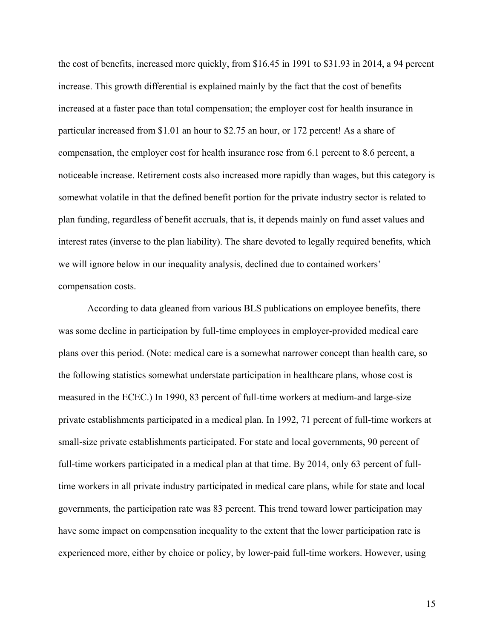the cost of benefits, increased more quickly, from \$16.45 in 1991 to \$31.93 in 2014, a 94 percent increase. This growth differential is explained mainly by the fact that the cost of benefits increased at a faster pace than total compensation; the employer cost for health insurance in particular increased from \$1.01 an hour to \$2.75 an hour, or 172 percent! As a share of compensation, the employer cost for health insurance rose from 6.1 percent to 8.6 percent, a noticeable increase. Retirement costs also increased more rapidly than wages, but this category is somewhat volatile in that the defined benefit portion for the private industry sector is related to plan funding, regardless of benefit accruals, that is, it depends mainly on fund asset values and interest rates (inverse to the plan liability). The share devoted to legally required benefits, which we will ignore below in our inequality analysis, declined due to contained workers' compensation costs.

According to data gleaned from various BLS publications on employee benefits, there was some decline in participation by full-time employees in employer-provided medical care plans over this period. (Note: medical care is a somewhat narrower concept than health care, so the following statistics somewhat understate participation in healthcare plans, whose cost is measured in the ECEC.) In 1990, 83 percent of full-time workers at medium-and large-size private establishments participated in a medical plan. In 1992, 71 percent of full-time workers at small-size private establishments participated. For state and local governments, 90 percent of full-time workers participated in a medical plan at that time. By 2014, only 63 percent of fulltime workers in all private industry participated in medical care plans, while for state and local governments, the participation rate was 83 percent. This trend toward lower participation may have some impact on compensation inequality to the extent that the lower participation rate is experienced more, either by choice or policy, by lower-paid full-time workers. However, using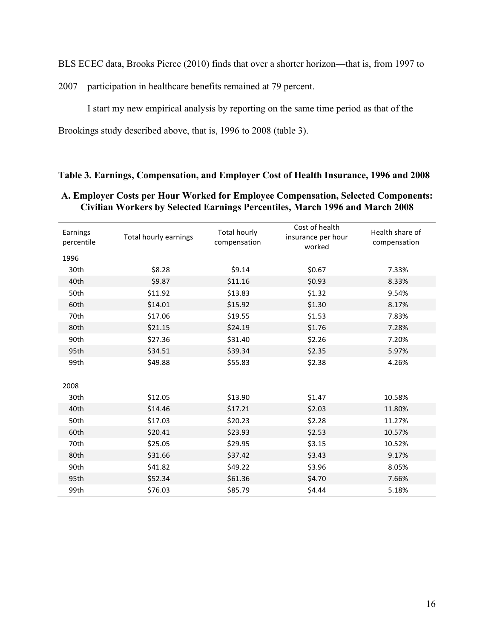BLS ECEC data, Brooks Pierce (2010) finds that over a shorter horizon—that is, from 1997 to

2007—participation in healthcare benefits remained at 79 percent.

I start my new empirical analysis by reporting on the same time period as that of the

Brookings study described above, that is, 1996 to 2008 (table 3).

### **Table 3. Earnings, Compensation, and Employer Cost of Health Insurance, 1996 and 2008**

| Earnings<br>percentile | Total hourly earnings | <b>Total hourly</b><br>compensation | Cost of health<br>insurance per hour<br>worked | Health share of<br>compensation |
|------------------------|-----------------------|-------------------------------------|------------------------------------------------|---------------------------------|
| 1996                   |                       |                                     |                                                |                                 |
| 30th                   | \$8.28                | \$9.14                              | \$0.67                                         | 7.33%                           |
| 40th                   | \$9.87                | \$11.16                             | \$0.93                                         | 8.33%                           |
| 50th                   | \$11.92               | \$13.83                             | \$1.32                                         | 9.54%                           |
| 60th                   | \$14.01               | \$15.92                             | \$1.30                                         | 8.17%                           |
| 70th                   | \$17.06               | \$19.55                             | \$1.53                                         | 7.83%                           |
| 80th                   | \$21.15               | \$24.19                             | \$1.76                                         | 7.28%                           |
| 90th                   | \$27.36               | \$31.40                             | \$2.26                                         | 7.20%                           |
| 95th                   | \$34.51               | \$39.34                             | \$2.35                                         | 5.97%                           |
| 99th                   | \$49.88               | \$55.83                             | \$2.38                                         | 4.26%                           |
| 2008                   |                       |                                     |                                                |                                 |
| 30th                   | \$12.05               | \$13.90                             | \$1.47                                         | 10.58%                          |
| 40th                   | \$14.46               | \$17.21                             | \$2.03                                         | 11.80%                          |
| 50th                   | \$17.03               | \$20.23                             | \$2.28                                         | 11.27%                          |
| 60th                   | \$20.41               | \$23.93                             | \$2.53                                         | 10.57%                          |
| 70th                   | \$25.05               | \$29.95                             | \$3.15                                         | 10.52%                          |
| 80th                   | \$31.66               | \$37.42                             | \$3.43                                         | 9.17%                           |
| 90th                   | \$41.82               | \$49.22                             | \$3.96                                         | 8.05%                           |
| 95th                   | \$52.34               | \$61.36                             | \$4.70                                         | 7.66%                           |
| 99th                   | \$76.03               | \$85.79                             | \$4.44                                         | 5.18%                           |

# **A. Employer Costs per Hour Worked for Employee Compensation, Selected Components: Civilian Workers by Selected Earnings Percentiles, March 1996 and March 2008**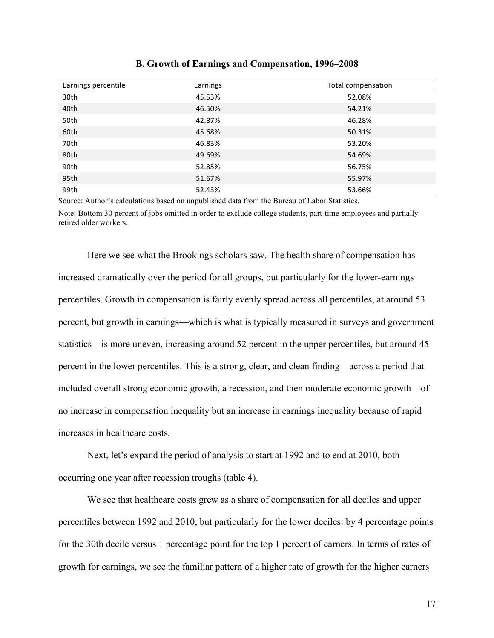| Earnings percentile | Earnings | Total compensation |
|---------------------|----------|--------------------|
| 30th                | 45.53%   | 52.08%             |
| 40th                | 46.50%   | 54.21%             |
| 50th                | 42.87%   | 46.28%             |
| 60th                | 45.68%   | 50.31%             |
| 70th                | 46.83%   | 53.20%             |
| 80th                | 49.69%   | 54.69%             |
| 90th                | 52.85%   | 56.75%             |
| 95th                | 51.67%   | 55.97%             |
| 99th                | 52.43%   | 53.66%             |

#### **B. Growth of Earnings and Compensation, 1996–2008**

Source: Author's calculations based on unpublished data from the Bureau of Labor Statistics. Note: Bottom 30 percent of jobs omitted in order to exclude college students, part-time employees and partially retired older workers.

Here we see what the Brookings scholars saw. The health share of compensation has increased dramatically over the period for all groups, but particularly for the lower-earnings percentiles. Growth in compensation is fairly evenly spread across all percentiles, at around 53 percent, but growth in earnings—which is what is typically measured in surveys and government statistics—is more uneven, increasing around 52 percent in the upper percentiles, but around 45 percent in the lower percentiles. This is a strong, clear, and clean finding—across a period that included overall strong economic growth, a recession, and then moderate economic growth—of no increase in compensation inequality but an increase in earnings inequality because of rapid increases in healthcare costs.

Next, let's expand the period of analysis to start at 1992 and to end at 2010, both occurring one year after recession troughs (table 4).

We see that healthcare costs grew as a share of compensation for all deciles and upper percentiles between 1992 and 2010, but particularly for the lower deciles: by 4 percentage points for the 30th decile versus 1 percentage point for the top 1 percent of earners. In terms of rates of growth for earnings, we see the familiar pattern of a higher rate of growth for the higher earners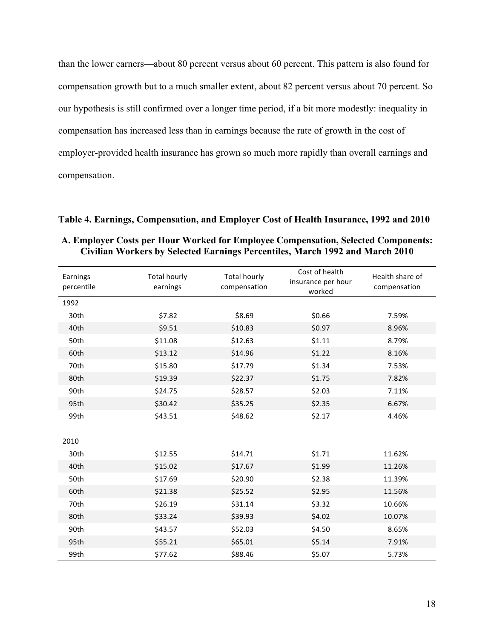than the lower earners—about 80 percent versus about 60 percent. This pattern is also found for compensation growth but to a much smaller extent, about 82 percent versus about 70 percent. So our hypothesis is still confirmed over a longer time period, if a bit more modestly: inequality in compensation has increased less than in earnings because the rate of growth in the cost of employer-provided health insurance has grown so much more rapidly than overall earnings and compensation.

# **Table 4. Earnings, Compensation, and Employer Cost of Health Insurance, 1992 and 2010 A. Employer Costs per Hour Worked for Employee Compensation, Selected Components:**

**Civilian Workers by Selected Earnings Percentiles, March 1992 and March 2010**

| Earnings<br>percentile | <b>Total hourly</b><br>earnings | <b>Total hourly</b><br>compensation | Cost of health<br>insurance per hour<br>worked | Health share of<br>compensation |
|------------------------|---------------------------------|-------------------------------------|------------------------------------------------|---------------------------------|
| 1992                   |                                 |                                     |                                                |                                 |
| 30th                   | \$7.82                          | \$8.69                              | \$0.66                                         | 7.59%                           |
| 40th                   | \$9.51                          | \$10.83                             | \$0.97                                         | 8.96%                           |
| 50th                   | \$11.08                         | \$12.63                             | \$1.11                                         | 8.79%                           |
| 60th                   | \$13.12                         | \$14.96                             | \$1.22                                         | 8.16%                           |
| 70th                   | \$15.80                         | \$17.79                             | \$1.34                                         | 7.53%                           |
| 80th                   | \$19.39                         | \$22.37                             | \$1.75                                         | 7.82%                           |
| 90th                   | \$24.75                         | \$28.57                             | \$2.03                                         | 7.11%                           |
| 95th                   | \$30.42                         | \$35.25                             | \$2.35                                         | 6.67%                           |
| 99th                   | \$43.51                         | \$48.62                             | \$2.17                                         | 4.46%                           |
| 2010                   |                                 |                                     |                                                |                                 |
| 30th                   | \$12.55                         | \$14.71                             | \$1.71                                         | 11.62%                          |
| 40th                   | \$15.02                         | \$17.67                             | \$1.99                                         | 11.26%                          |
| 50th                   | \$17.69                         | \$20.90                             | \$2.38                                         | 11.39%                          |
| 60th                   | \$21.38                         | \$25.52                             | \$2.95                                         | 11.56%                          |
| 70th                   | \$26.19                         | \$31.14                             | \$3.32                                         | 10.66%                          |
| 80th                   | \$33.24                         | \$39.93                             | \$4.02                                         | 10.07%                          |
| 90th                   | \$43.57                         | \$52.03                             | \$4.50                                         | 8.65%                           |
| 95th                   | \$55.21                         | \$65.01                             | \$5.14                                         | 7.91%                           |
| 99th                   | \$77.62                         | \$88.46                             | \$5.07                                         | 5.73%                           |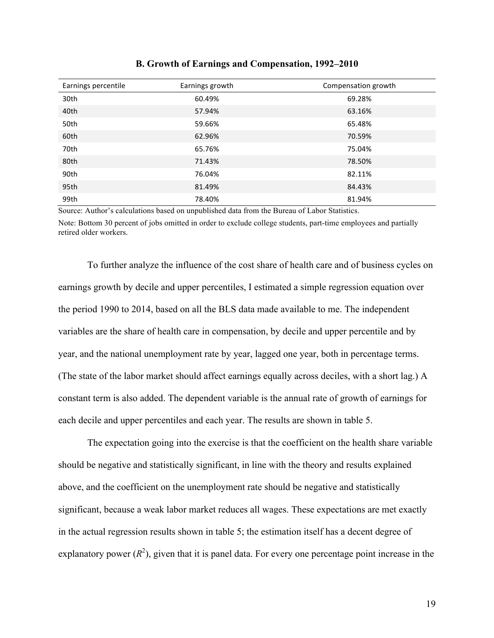| Earnings percentile | Earnings growth | Compensation growth |
|---------------------|-----------------|---------------------|
| 30th                | 60.49%          | 69.28%              |
| 40th                | 57.94%          | 63.16%              |
| 50th                | 59.66%          | 65.48%              |
| 60th                | 62.96%          | 70.59%              |
| 70th                | 65.76%          | 75.04%              |
| 80th                | 71.43%          | 78.50%              |
| 90th                | 76.04%          | 82.11%              |
| 95th                | 81.49%          | 84.43%              |
| 99th                | 78.40%          | 81.94%              |

#### **B. Growth of Earnings and Compensation, 1992–2010**

Source: Author's calculations based on unpublished data from the Bureau of Labor Statistics. Note: Bottom 30 percent of jobs omitted in order to exclude college students, part-time employees and partially retired older workers.

To further analyze the influence of the cost share of health care and of business cycles on earnings growth by decile and upper percentiles, I estimated a simple regression equation over the period 1990 to 2014, based on all the BLS data made available to me. The independent variables are the share of health care in compensation, by decile and upper percentile and by year, and the national unemployment rate by year, lagged one year, both in percentage terms. (The state of the labor market should affect earnings equally across deciles, with a short lag.) A constant term is also added. The dependent variable is the annual rate of growth of earnings for each decile and upper percentiles and each year. The results are shown in table 5.

The expectation going into the exercise is that the coefficient on the health share variable should be negative and statistically significant, in line with the theory and results explained above, and the coefficient on the unemployment rate should be negative and statistically significant, because a weak labor market reduces all wages. These expectations are met exactly in the actual regression results shown in table 5; the estimation itself has a decent degree of explanatory power  $(R^2)$ , given that it is panel data. For every one percentage point increase in the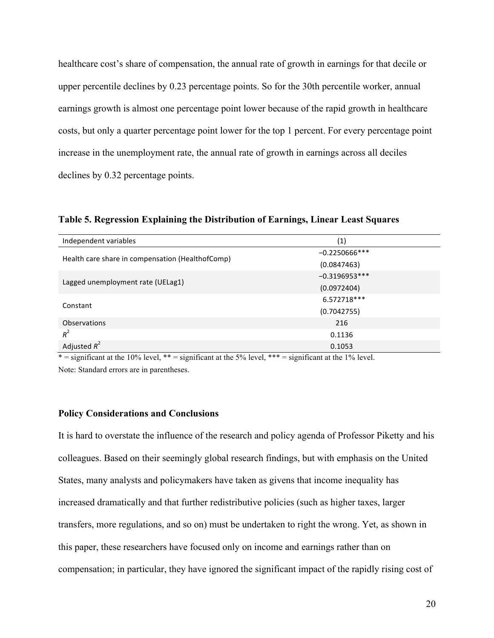healthcare cost's share of compensation, the annual rate of growth in earnings for that decile or upper percentile declines by 0.23 percentage points. So for the 30th percentile worker, annual earnings growth is almost one percentage point lower because of the rapid growth in healthcare costs, but only a quarter percentage point lower for the top 1 percent. For every percentage point increase in the unemployment rate, the annual rate of growth in earnings across all deciles declines by 0.32 percentage points.

**Table 5. Regression Explaining the Distribution of Earnings, Linear Least Squares**

| Independent variables                            | (1)              |
|--------------------------------------------------|------------------|
|                                                  | $-0.2250666$ *** |
| Health care share in compensation (HealthofComp) | (0.0847463)      |
| Lagged unemployment rate (UELag1)                | $-0.3196953***$  |
|                                                  | (0.0972404)      |
| Constant                                         | 6.572718***      |
|                                                  | (0.7042755)      |
| Observations                                     | 216              |
| $R^2$                                            | 0.1136           |
| Adjusted $R^2$                                   | 0.1053           |

 $* =$  significant at the 10% level,  $** =$  significant at the 5% level,  $*** =$  significant at the 1% level. Note: Standard errors are in parentheses.

# **Policy Considerations and Conclusions**

It is hard to overstate the influence of the research and policy agenda of Professor Piketty and his colleagues. Based on their seemingly global research findings, but with emphasis on the United States, many analysts and policymakers have taken as givens that income inequality has increased dramatically and that further redistributive policies (such as higher taxes, larger transfers, more regulations, and so on) must be undertaken to right the wrong. Yet, as shown in this paper, these researchers have focused only on income and earnings rather than on compensation; in particular, they have ignored the significant impact of the rapidly rising cost of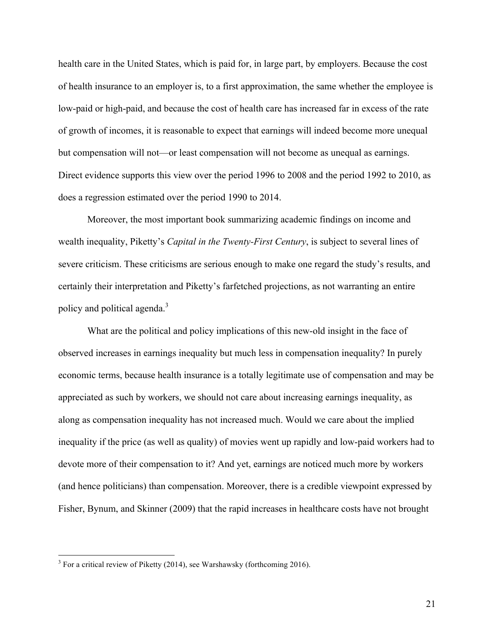health care in the United States, which is paid for, in large part, by employers. Because the cost of health insurance to an employer is, to a first approximation, the same whether the employee is low-paid or high-paid, and because the cost of health care has increased far in excess of the rate of growth of incomes, it is reasonable to expect that earnings will indeed become more unequal but compensation will not—or least compensation will not become as unequal as earnings. Direct evidence supports this view over the period 1996 to 2008 and the period 1992 to 2010, as does a regression estimated over the period 1990 to 2014.

Moreover, the most important book summarizing academic findings on income and wealth inequality, Piketty's *Capital in the Twenty-First Century*, is subject to several lines of severe criticism. These criticisms are serious enough to make one regard the study's results, and certainly their interpretation and Piketty's farfetched projections, as not warranting an entire policy and political agenda.<sup>3</sup>

What are the political and policy implications of this new-old insight in the face of observed increases in earnings inequality but much less in compensation inequality? In purely economic terms, because health insurance is a totally legitimate use of compensation and may be appreciated as such by workers, we should not care about increasing earnings inequality, as along as compensation inequality has not increased much. Would we care about the implied inequality if the price (as well as quality) of movies went up rapidly and low-paid workers had to devote more of their compensation to it? And yet, earnings are noticed much more by workers (and hence politicians) than compensation. Moreover, there is a credible viewpoint expressed by Fisher, Bynum, and Skinner (2009) that the rapid increases in healthcare costs have not brought

<sup>&</sup>lt;sup>3</sup> For a critical review of Piketty (2014), see Warshawsky (forthcoming 2016).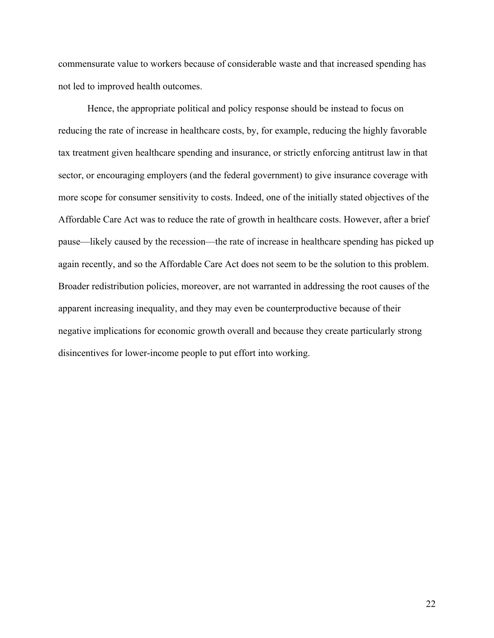commensurate value to workers because of considerable waste and that increased spending has not led to improved health outcomes.

Hence, the appropriate political and policy response should be instead to focus on reducing the rate of increase in healthcare costs, by, for example, reducing the highly favorable tax treatment given healthcare spending and insurance, or strictly enforcing antitrust law in that sector, or encouraging employers (and the federal government) to give insurance coverage with more scope for consumer sensitivity to costs. Indeed, one of the initially stated objectives of the Affordable Care Act was to reduce the rate of growth in healthcare costs. However, after a brief pause—likely caused by the recession—the rate of increase in healthcare spending has picked up again recently, and so the Affordable Care Act does not seem to be the solution to this problem. Broader redistribution policies, moreover, are not warranted in addressing the root causes of the apparent increasing inequality, and they may even be counterproductive because of their negative implications for economic growth overall and because they create particularly strong disincentives for lower-income people to put effort into working.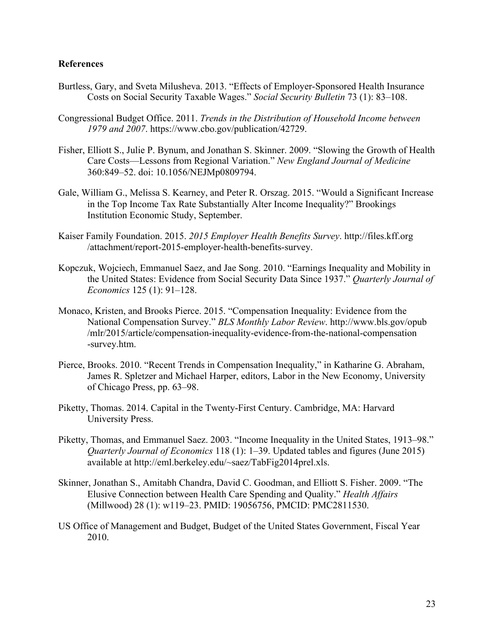### **References**

- Burtless, Gary, and Sveta Milusheva. 2013. "Effects of Employer-Sponsored Health Insurance Costs on Social Security Taxable Wages." *Social Security Bulletin* 73 (1): 83–108.
- Congressional Budget Office. 2011. *Trends in the Distribution of Household Income between 1979 and 2007*. <https://www.cbo.gov/publication/42729>.
- Fisher, Elliott S., Julie P. Bynum, and Jonathan S. Skinner. 2009. "Slowing the Growth of Health Care Costs—Lessons from Regional Variation." *New England Journal of Medicine* 360:849–52. doi: 10.1056/NEJMp0809794.
- Gale, William G., Melissa S. Kearney, and Peter R. Orszag. 2015. "Would a Significant Increase in the Top Income Tax Rate Substantially Alter Income Inequality?" Brookings Institution Economic Study, September.
- Kaiser Family Foundation. 2015. *2015 Employer Health Benefits Survey*. [http://files.kff.org](http://files.kff.org/attachment/report-2015-employer-health-benefits-survey) [/attachment/report-2015-employer-health-benefits-survey.](http://files.kff.org/attachment/report-2015-employer-health-benefits-survey)
- Kopczuk, Wojciech, Emmanuel Saez, and Jae Song. 2010. "Earnings Inequality and Mobility in the United States: Evidence from Social Security Data Since 1937." *Quarterly Journal of Economics* 125 (1): 91–128.
- Monaco, Kristen, and Brooks Pierce. 2015. "Compensation Inequality: Evidence from the National Compensation Survey." *BLS Monthly Labor Review*. [http://www.bls.gov/opub](http://www.bls.gov/opub/mlr/2015/article/compensation-inequality-evidence-from-the-national-compensation-survey.htm) [/mlr/2015/article/compensation-inequality-evidence-from-the-national-compensation](http://www.bls.gov/opub/mlr/2015/article/compensation-inequality-evidence-from-the-national-compensation-survey.htm) [-survey.htm.](http://www.bls.gov/opub/mlr/2015/article/compensation-inequality-evidence-from-the-national-compensation-survey.htm)
- Pierce, Brooks. 2010. "Recent Trends in Compensation Inequality," in Katharine G. Abraham, James R. Spletzer and Michael Harper, editors, Labor in the New Economy, University of Chicago Press, pp. 63–98.
- Piketty, Thomas. 2014. Capital in the Twenty-First Century. Cambridge, MA: Harvard University Press.
- Piketty, Thomas, and Emmanuel Saez. 2003. "Income Inequality in the United States, 1913–98." *Quarterly Journal of Economics* 118 (1): 1–39. Updated tables and figures (June 2015) available at [http://eml.berkeley.edu/~saez/TabFig2014prel.xls.](http://eml.berkeley.edu/~saez/TabFig2014prel.xls)
- Skinner, Jonathan S., Amitabh Chandra, David C. Goodman, and Elliott S. Fisher. 2009. "The Elusive Connection between Health Care Spending and Quality." *Health Affairs* (Millwood) 28 (1): w119–23. PMID: 19056756, PMCID: PMC2811530.
- US Office of Management and Budget, Budget of the United States Government, Fiscal Year 2010.